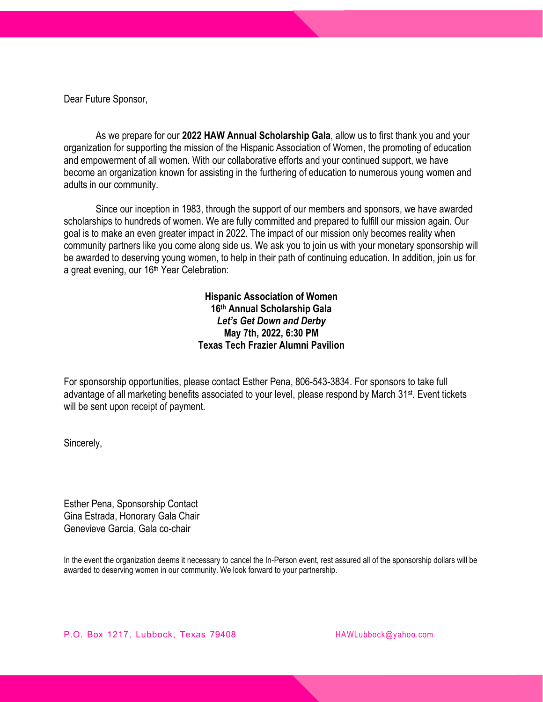Dear Future Sponsor,

As we prepare for our **2022 HAW Annual Scholarship Gala**, allow us to first thank you and your organization for supporting the mission of the Hispanic Association of Women, the promoting of education and empowerment of all women. With our collaborative efforts and your continued support, we have become an organization known for assisting in the furthering of education to numerous young women and adults in our community.

Since our inception in 1983, through the support of our members and sponsors, we have awarded scholarships to hundreds of women. We are fully committed and prepared to fulfill our mission again. Our goal is to make an even greater impact in 2022. The impact of our mission only becomes reality when community partners like you come along side us. We ask you to join us with your monetary sponsorship will be awarded to deserving young women, to help in their path of continuing education. In addition, join us for a great evening, our 16<sup>th</sup> Year Celebration:

> **Hispanic Association of Women 16th Annual Scholarship Gala** *Let's Get Down and Derby* **May 7th, 2022, 6:30 PM Texas Tech Frazier Alumni Pavilion**

For sponsorship opportunities, please contact Esther Pena, 806-543-3834. For sponsors to take full advantage of all marketing benefits associated to your level, please respond by March 31<sup>st</sup>. Event tickets will be sent upon receipt of payment.

Sincerely,

Esther Pena, Sponsorship Contact Gina Estrada, Honorary Gala Chair Genevieve Garcia, Gala co-chair

In the event the organization deems it necessary to cancel the In-Person event, rest assured all of the sponsorship dollars will be awarded to deserving women in our community. We look forward to your partnership.

P.O. Box 1217, Lubbock, Texas 79408 [HAWLubbock@yahoo.com](mailto:HAWLubbock@yahoo.com)